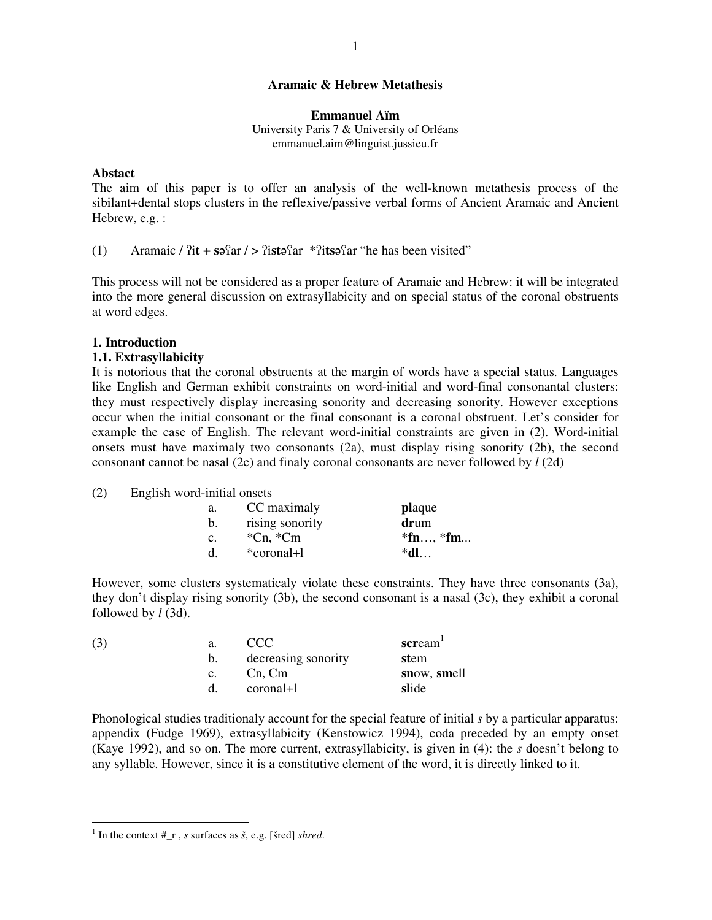## **Aramaic & Hebrew Metathesis**

## **Emmanuel Aïm**

University Paris 7 & University of Orléans emmanuel.aim@linguist.jussieu.fr

#### **Abstact**

The aim of this paper is to offer an analysis of the well-known metathesis process of the sibilant+dental stops clusters in the reflexive/passive verbal forms of Ancient Aramaic and Ancient Hebrew, e.g. :

(1) Aramaic /  $\hat{i}$ **t** +  $\hat{s}$ <sup>2</sup> $\hat{i}$  ar / >  $\hat{i}$ **s** $\hat{s}$ <sup>4</sup> $\hat{i}$ **f** $\hat{s}$ <sup>3</sup> $\hat{i}$ **s** $\hat{s}$ <sup>4</sup> $\hat{i}$ **f** $\hat{s}$ **h** $\hat{s}$ **h** $\hat{s}$ **h** $\hat{s}$ **h** $\hat{s}$ **h** $\hat{s}$ **h** $\hat{s}$ **h** $\hat{s}$ **h** $\hat{s}$ **h** $\hat{s}$ **h** $\hat{s}$ **h** $\hat{s}$ **h**

This process will not be considered as a proper feature of Aramaic and Hebrew: it will be integrated into the more general discussion on extrasyllabicity and on special status of the coronal obstruents at word edges.

## **1. Introduction**

# **1.1. Extrasyllabicity**

It is notorious that the coronal obstruents at the margin of words have a special status. Languages like English and German exhibit constraints on word-initial and word-final consonantal clusters: they must respectively display increasing sonority and decreasing sonority. However exceptions occur when the initial consonant or the final consonant is a coronal obstruent. Let's consider for example the case of English. The relevant word-initial constraints are given in (2). Word-initial onsets must have maximaly two consonants (2a), must display rising sonority (2b), the second consonant cannot be nasal (2c) and finaly coronal consonants are never followed by *l* (2d)

#### (2) English word-initial onsets

| a. | CC maximaly                | <b>plaque</b> |
|----|----------------------------|---------------|
| b. | rising sonority            | drum          |
| c. | $^{\ast}$ Cn, $^{\ast}$ Cm | $*fn, *fm$    |
| d. | *coronal+l                 | $*d$ l        |

However, some clusters systematicaly violate these constraints. They have three consonants (3a), they don't display rising sonority (3b), the second consonant is a nasal (3c), they exhibit a coronal followed by *l* (3d).

| scream <sup>1</sup> |
|---------------------|
| stem                |
| snow, smell         |
| slide               |
|                     |

Phonological studies traditionaly account for the special feature of initial *s* by a particular apparatus: appendix (Fudge 1969), extrasyllabicity (Kenstowicz 1994), coda preceded by an empty onset (Kaye 1992), and so on. The more current, extrasyllabicity, is given in (4): the *s* doesn't belong to any syllable. However, since it is a constitutive element of the word, it is directly linked to it.

<sup>1</sup> In the context #\_r , *s* surfaces as *š*, e.g. [šred] *shred*.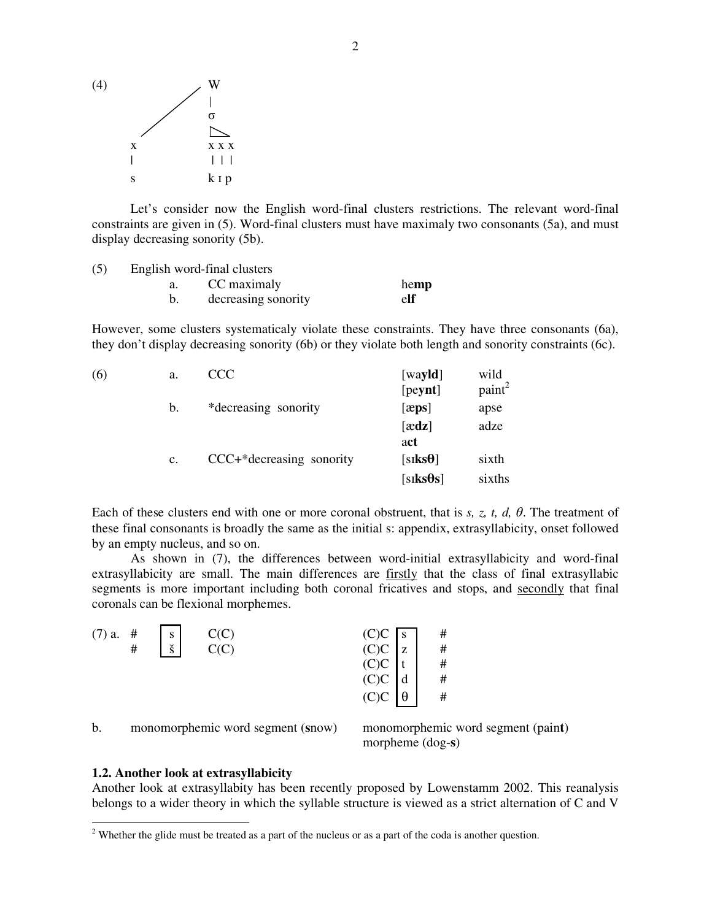

Let's consider now the English word-final clusters restrictions. The relevant word-final constraints are given in (5). Word-final clusters must have maximaly two consonants (5a), and must display decreasing sonority (5b).

| (5) | English word-final clusters |      |  |  |  |  |
|-----|-----------------------------|------|--|--|--|--|
|     | CC maximaly                 | hemp |  |  |  |  |
|     | decreasing sonority         | elf  |  |  |  |  |

However, some clusters systematicaly violate these constraints. They have three consonants (6a), they don't display decreasing sonority (6b) or they violate both length and sonority constraints (6c).

| (6) | a.             | CCC                      | [wa <b>yld</b> ] | wild               |
|-----|----------------|--------------------------|------------------|--------------------|
|     |                |                          | [peynt]          | paint <sup>2</sup> |
|     | b.             | *decreasing sonority     | $[\text{zps}]$   | apse               |
|     |                |                          | $[\text{ædz}]$   | adze               |
|     |                |                          | act              |                    |
|     | $\mathbf{c}$ . | CCC+*decreasing sonority | [siks $\theta$ ] | sixth              |
|     |                |                          | $[siks\theta s]$ | sixths             |
|     |                |                          |                  |                    |

Each of these clusters end with one or more coronal obstruent, that is  $s$ ,  $z$ ,  $t$ ,  $d$ ,  $\theta$ . The treatment of these final consonants is broadly the same as the initial s: appendix, extrasyllabicity, onset followed by an empty nucleus, and so on.

As shown in (7), the differences between word-initial extrasyllabicity and word-final extrasyllabicity are small. The main differences are firstly that the class of final extrasyllabic segments is more important including both coronal fricatives and stops, and secondly that final coronals can be flexional morphemes.

| $(7)$ a. # | S                    | $C(C)$<br>$C(C)$ |                                                                                                                                                |          | #                                       |
|------------|----------------------|------------------|------------------------------------------------------------------------------------------------------------------------------------------------|----------|-----------------------------------------|
| #          | $\check{\mathbf{s}}$ |                  |                                                                                                                                                |          | $\begin{array}{c} \# \\ \# \end{array}$ |
|            |                      |                  |                                                                                                                                                |          |                                         |
|            |                      |                  | (C)C $\begin{bmatrix} s \\ c \end{bmatrix}$<br>(C)C $\begin{bmatrix} z \\ t \\ c \end{bmatrix}$<br>(C)C $\begin{bmatrix} d \\ d \end{bmatrix}$ |          | $\#$                                    |
|            |                      |                  | (C)C                                                                                                                                           | $\theta$ | #                                       |
|            |                      |                  |                                                                                                                                                |          |                                         |

b. monomorphemic word segment (**s**now) monomorphemic word segment (pain**t**)

morpheme (dog-**s**)

# **1.2. Another look at extrasyllabicity**

Another look at extrasyllabity has been recently proposed by Lowenstamm 2002. This reanalysis belongs to a wider theory in which the syllable structure is viewed as a strict alternation of C and V

<sup>&</sup>lt;sup>2</sup> Whether the glide must be treated as a part of the nucleus or as a part of the coda is another question.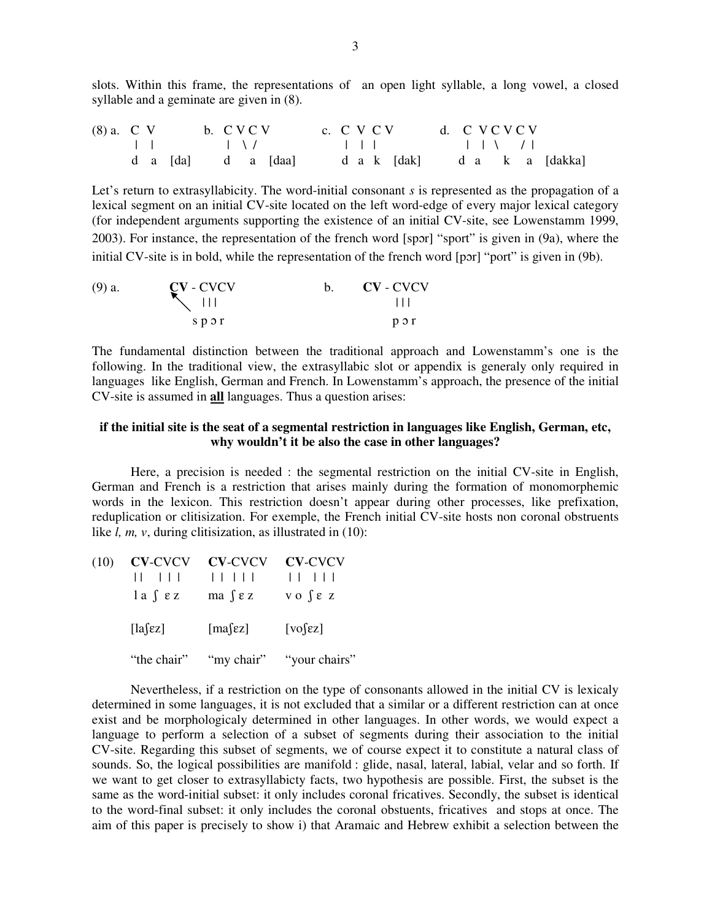slots. Within this frame, the representations of an open light syllable, a long vowel, a closed syllable and a geminate are given in (8).

| $(8)$ a. C V |  |                    | b. CVCV |  | c. C V C V |  |  | d. CVCVCV |  |  |                             |
|--------------|--|--------------------|---------|--|------------|--|--|-----------|--|--|-----------------------------|
|              |  |                    |         |  |            |  |  |           |  |  |                             |
|              |  | d a [da] d a [daa] |         |  |            |  |  |           |  |  | d a k [dak] d a k a [dakka] |

Let's return to extrasyllabicity. The word-initial consonant *s* is represented as the propagation of a lexical segment on an initial CV-site located on the left word-edge of every major lexical category (for independent arguments supporting the existence of an initial CV-site, see Lowenstamm 1999, 2003). For instance, the representation of the french word [spr] "sport" is given in (9a), where the initial CV-site is in bold, while the representation of the french word [por] "port" is given in (9b).

| $(9)$ a. | $CV$ - $CVCV$     | <b>CV</b> - CVCV |
|----------|-------------------|------------------|
|          | $\searrow$ $\Box$ |                  |
|          | spor              | $p \circ r$      |

The fundamental distinction between the traditional approach and Lowenstamm's one is the following. In the traditional view, the extrasyllabic slot or appendix is generaly only required in languages like English, German and French. In Lowenstamm's approach, the presence of the initial CV-site is assumed in **all** languages. Thus a question arises:

# **if the initial site is the seat of a segmental restriction in languages like English, German, etc, why wouldn't it be also the case in other languages?**

Here, a precision is needed : the segmental restriction on the initial CV-site in English, German and French is a restriction that arises mainly during the formation of monomorphemic words in the lexicon. This restriction doesn't appear during other processes, like prefixation, reduplication or clitisization. For exemple, the French initial CV-site hosts non coronal obstruents like *l, m, v, during clitisization, as illustrated in (10):* 

| (10) | $\mathbf{1}$ $\mathbf{1}$ $\mathbf{1}$ $\mathbf{1}$<br>$la \int \varepsilon z$ | CV-CVCV CV-CVCV CV-CVCV<br>ma $\int$ $\epsilon$ z v o $\int$ $\epsilon$ z |                          |
|------|--------------------------------------------------------------------------------|---------------------------------------------------------------------------|--------------------------|
|      | $[a$ $\epsilon z]$                                                             | [mas $\epsilon$ z]                                                        | $[vo$ [ $ez$ ]           |
|      | "the chair"                                                                    |                                                                           | "my chair" "your chairs" |

Nevertheless, if a restriction on the type of consonants allowed in the initial CV is lexicaly determined in some languages, it is not excluded that a similar or a different restriction can at once exist and be morphologicaly determined in other languages. In other words, we would expect a language to perform a selection of a subset of segments during their association to the initial CV-site. Regarding this subset of segments, we of course expect it to constitute a natural class of sounds. So, the logical possibilities are manifold : glide, nasal, lateral, labial, velar and so forth. If we want to get closer to extrasyllabicty facts, two hypothesis are possible. First, the subset is the same as the word-initial subset: it only includes coronal fricatives. Secondly, the subset is identical to the word-final subset: it only includes the coronal obstuents, fricatives and stops at once. The aim of this paper is precisely to show i) that Aramaic and Hebrew exhibit a selection between the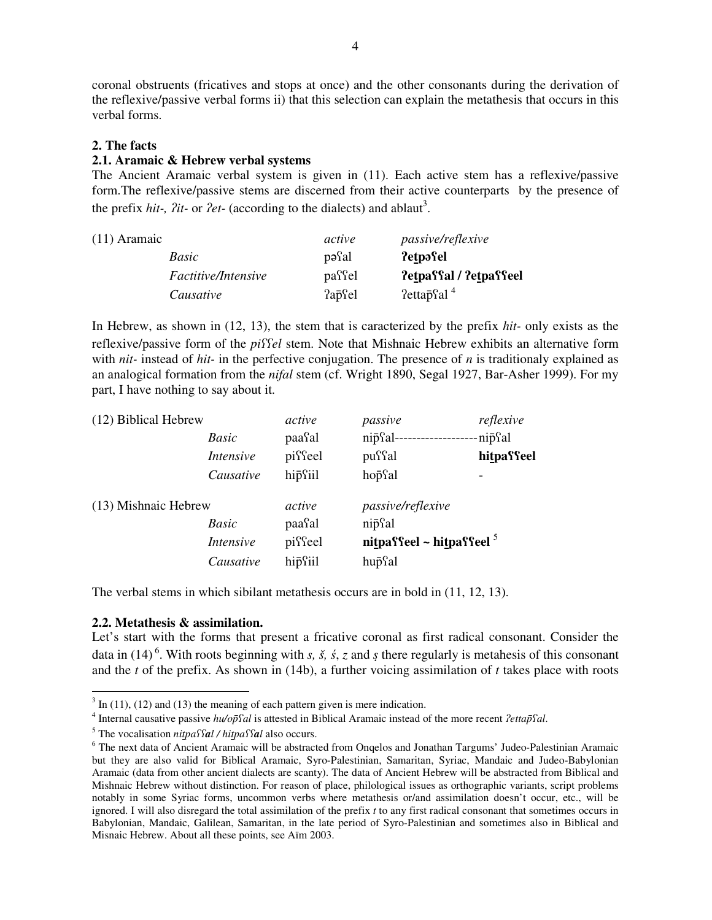coronal obstruents (fricatives and stops at once) and the other consonants during the derivation of the reflexive/passive verbal forms ii) that this selection can explain the metathesis that occurs in this verbal forms.

# **2. The facts**

# **2.1. Aramaic & Hebrew verbal systems**

The Ancient Aramaic verbal system is given in (11). Each active stem has a reflexive/passive form.The reflexive/passive stems are discerned from their active counterparts by the presence of the prefix *hit-, ?it-* or *?et-* (according to the dialects) and ablaut<sup>3</sup>.

| (11) Aramaic        | active | <i>passive/reflexive</i>            |
|---------------------|--------|-------------------------------------|
| Basic               | pasal  | ?etpəfel                            |
| Factitive/Intensive | passel | ?etpaffal / ?etpaffeel              |
| Causative           | ?apcol | $7$ etta $\bar{p}$ sal <sup>4</sup> |

In Hebrew, as shown in (12, 13), the stem that is caracterized by the prefix *hit-* only exists as the reflexive/passive form of the *piel* stem. Note that Mishnaic Hebrew exhibits an alternative form with *nit-* instead of *hit-* in the perfective conjugation. The presence of *n* is traditionaly explained as an analogical formation from the *nifal* stem (cf. Wright 1890, Segal 1927, Bar-Asher 1999). For my part, I have nothing to say about it.

| (12) Biblical Hebrew |                  | active  | passive                    | reflexive  |
|----------------------|------------------|---------|----------------------------|------------|
|                      | Basic            | paasal  | nipsal-                    | -nip͡sal   |
|                      | Intensive        | pisseel | puffal                     | hitpaffeel |
|                      | Causative        | hipsiil | hopfal                     |            |
| (13) Mishnaic Hebrew |                  | active  | <i>passive/reflexive</i>   |            |
|                      | Basic            | paasal  | nip <sup>c</sup> al        |            |
|                      | <i>Intensive</i> | pisseel | nitpassel ~ hitpassel $^5$ |            |
|                      | Causative        | hipsiil | hupsal                     |            |
|                      |                  |         |                            |            |

The verbal stems in which sibilant metathesis occurs are in bold in (11, 12, 13).

## **2.2. Metathesis & assimilation.**

Let's start with the forms that present a fricative coronal as first radical consonant. Consider the data in (14)<sup>6</sup>. With roots beginning with *s*, *š*, *š*, *z* and *s* there regularly is metahesis of this consonant and the *t* of the prefix. As shown in (14b), a further voicing assimilation of *t* takes place with roots

 $3 \text{ In } (11)$ , (12) and (13) the meaning of each pattern given is mere indication.

<sup>&</sup>lt;sup>4</sup> Internal causative passive *hu/op̃Sal* is attested in Biblical Aramaic instead of the more recent *?ettap̃Sal*.

<sup>&</sup>lt;sup>5</sup> The vocalisation *nitpaffal* / *hitpaffal* also occurs.

<sup>&</sup>lt;sup>6</sup> The next data of Ancient Aramaic will be abstracted from Onqelos and Jonathan Targums' Judeo-Palestinian Aramaic but they are also valid for Biblical Aramaic, Syro-Palestinian, Samaritan, Syriac, Mandaic and Judeo-Babylonian Aramaic (data from other ancient dialects are scanty). The data of Ancient Hebrew will be abstracted from Biblical and Mishnaic Hebrew without distinction. For reason of place, philological issues as orthographic variants, script problems notably in some Syriac forms, uncommon verbs where metathesis or/and assimilation doesn't occur, etc., will be ignored. I will also disregard the total assimilation of the prefix *t* to any first radical consonant that sometimes occurs in Babylonian, Mandaic, Galilean, Samaritan, in the late period of Syro-Palestinian and sometimes also in Biblical and Misnaic Hebrew. About all these points, see Aïm 2003.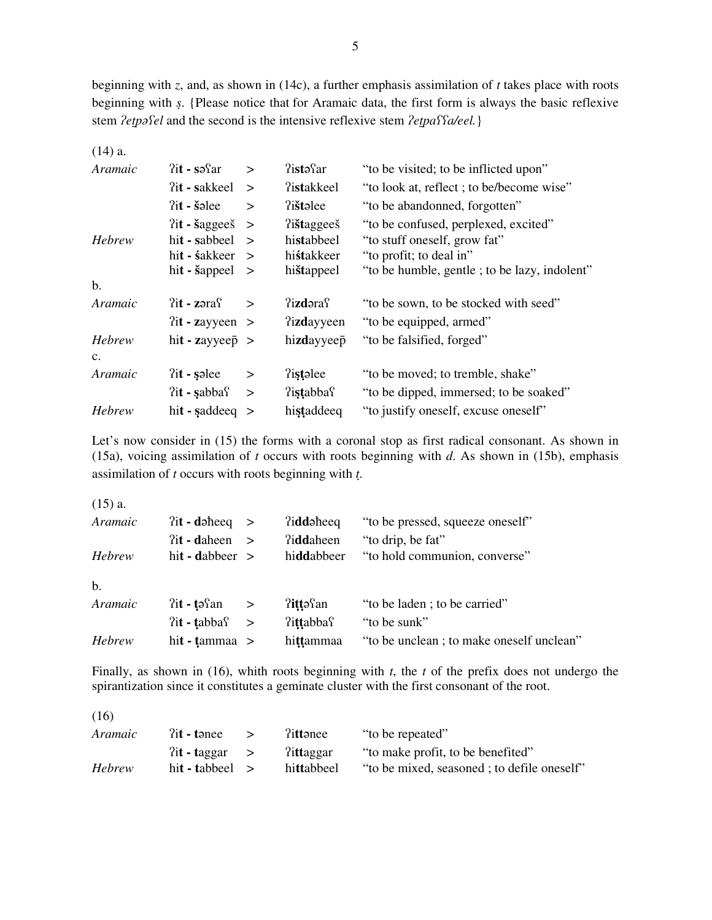beginning with *z*, and, as shown in (14c), a further emphasis assimilation of *t* takes place with roots beginning with *s*. {Please notice that for Aramaic data, the first form is always the basic reflexive stem  $2 \epsilon$ *etpaSel* and the second is the intensive reflexive stem  $2 \epsilon$ *etpaSSa/eel.*}

| $(14)$ a.      |                               |        |                       |                                              |
|----------------|-------------------------------|--------|-----------------------|----------------------------------------------|
| Aramaic        | $?$ it - sə $\Omega$ r        | $\geq$ | $?$ istə $\text{Sar}$ | "to be visited; to be inflicted upon"        |
|                | ?it - sakkeel                 | $\geq$ | <b>?istakkeel</b>     | "to look at, reflect; to be/become wise"     |
|                | $?$ it - šəlee                | $\geq$ | ?i <b>št</b> alee     | "to be abandonned, forgotten"                |
|                | $?$ it - šaggees              | $\geq$ | ?i <b>št</b> aggees   | "to be confused, perplexed, excited"         |
| <b>Hebrew</b>  | hit - sabbeel                 | $\geq$ | histabbeel            | "to stuff oneself, grow fat"                 |
|                | hi <b>t</b> - <b>s</b> akkeer | $\geq$ | histakkeer            | "to profit; to deal in"                      |
|                | hit - $\text{Sapped}$ >       |        | hištappeel            | "to be humble, gentle; to be lazy, indolent" |
| $\mathbf{b}$ . |                               |        |                       |                                              |
| Aramaic        | $?$ it - zəra $\mathcal{S}$   | $\geq$ | ?i <b>zd</b> əras     | "to be sown, to be stocked with seed"        |
|                | $2it - zayyeen$ >             |        | <b>Tizdayyeen</b>     | "to be equipped, armed"                      |
| Hebrew         | hit - zayyee $\bar{p}$ >      |        | hizdayyeep            | "to be falsified, forged"                    |
| $C_{\bullet}$  |                               |        |                       |                                              |
| Aramaic        | $?$ it - səlee                | $\geq$ | <i>l</i> istalee      | "to be moved; to tremble, shake"             |
|                | $?$ it - sabba $\Omega$       | $\geq$ | <b>Tistabbas</b>      | "to be dipped, immersed; to be soaked"       |
| Hebrew         | $hit$ - saddeeq $>$           |        | histaddeeq            | "to justify oneself, excuse oneself"         |

Let's now consider in (15) the forms with a coronal stop as first radical consonant. As shown in (15a), voicing assimilation of *t* occurs with roots beginning with *d*. As shown in (15b), emphasis assimilation of *t* occurs with roots beginning with *t*.

(15) a.

| Aramaic | $2it - d$ daheeq $>$    |               | didd <sub>d</sub> heeg | "to be pressed, squeeze oneself"         |
|---------|-------------------------|---------------|------------------------|------------------------------------------|
|         | $?$ it - daheen         | $\rightarrow$ | <b>?iddaheen</b>       | "to drip, be fat"                        |
| Hebrew  | hit - dabbeer $>$       |               | hiddabbeer             | "to hold communion, converse"            |
| b.      |                         |               |                        |                                          |
| Aramaic | $?$ it - tə $\Omega$ n  | $\geq$        | ?ittəfan               | "to be laden; to be carried"             |
|         | $?$ it - tabba $\Omega$ | $\geq$        | <b>Tittabbas</b>       | "to be sunk"                             |
| Hebrew  | hit - tammaa $>$        |               | hittammaa              | "to be unclean; to make oneself unclean" |

Finally, as shown in (16), whith roots beginning with *t*, the *t* of the prefix does not undergo the spirantization since it constitutes a geminate cluster with the first consonant of the root.

| $?$ it - tanee | littanee                            | "to be repeated"                           |
|----------------|-------------------------------------|--------------------------------------------|
|                | littaggar                           | "to make profit, to be benefited"          |
|                | hittabbeel                          | "to be mixed, seasoned; to defile oneself" |
|                | $\int$ aggar ><br>hit - tabbeel $>$ |                                            |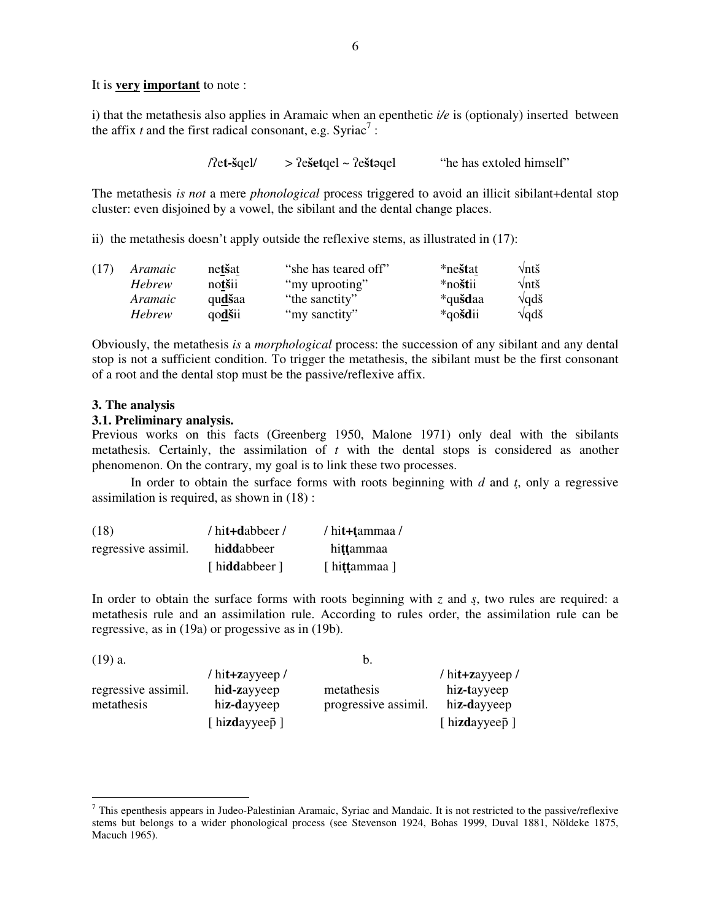It is **very important** to note :

i) that the metathesis also applies in Aramaic when an epenthetic *i/e* is (optionaly) inserted between the affix  $t$  and the first radical consonant, e.g. Syriac<sup>7</sup>:

> $\ell$  et- $\frac{1}{2}$   $\ell$  >  $\ell$  estagel  $\sim$   $\ell$  estagel "he has extoled himself"

The metathesis *is not* a mere *phonological* process triggered to avoid an illicit sibilant+dental stop cluster: even disjoined by a vowel, the sibilant and the dental change places.

ii) the metathesis doesn't apply outside the reflexive stems, as illustrated in (17):

| (17) | Aramaic        | netšat | "she has teared off" | *ne <b>št</b> at | $\sqrt{n}t\check{s}$ |
|------|----------------|--------|----------------------|------------------|----------------------|
|      | <b>Hebrew</b>  | notšii | "my uprooting"       | *noštii          | $\sqrt{nt}$ š        |
|      | <i>Aramaic</i> | qudšaa | "the sanctity"       | *qu <b>šd</b> aa | $\sqrt{q}d\check{s}$ |
|      | <b>Hebrew</b>  | qodšii | "my sanctity"        | *qo <b>šd</b> ii | $\sqrt{q}d\check{s}$ |

Obviously, the metathesis *is* a *morphological* process: the succession of any sibilant and any dental stop is not a sufficient condition. To trigger the metathesis, the sibilant must be the first consonant of a root and the dental stop must be the passive/reflexive affix.

#### **3. The analysis**

#### **3.1. Preliminary analysis.**

Previous works on this facts (Greenberg 1950, Malone 1971) only deal with the sibilants metathesis. Certainly, the assimilation of *t* with the dental stops is considered as another phenomenon. On the contrary, my goal is to link these two processes.

In order to obtain the surface forms with roots beginning with *d* and *t*, only a regressive assimilation is required, as shown in (18) :

| (18)                | / hit+dabbeer / | / hit+tammaa / |
|---------------------|-----------------|----------------|
| regressive assimil. | hiddabbeer      | hittammaa      |
|                     | [hiddabbeer]    | [ hittammaa ]  |

In order to obtain the surface forms with roots beginning with *z* and *s*, two rules are required: a metathesis rule and an assimilation rule. According to rules order, the assimilation rule can be regressive, as in (19a) or progessive as in (19b).

| $(19)$ a.           |                 | b.                   |                     |
|---------------------|-----------------|----------------------|---------------------|
|                     | / hit+zayyeep / |                      | $/$ hit+zayyeep $/$ |
| regressive assimil. | hid-zayyeep     | metathesis           | hiz-tayyeep         |
| metathesis          | hiz-dayyeep     | progressive assimil. | hiz-dayyeep         |
|                     | [hizdayyeep]    |                      | [ hizdayyeep ]      |

 $<sup>7</sup>$  This epenthesis appears in Judeo-Palestinian Aramaic, Syriac and Mandaic. It is not restricted to the passive/reflexive</sup> stems but belongs to a wider phonological process (see Stevenson 1924, Bohas 1999, Duval 1881, Nöldeke 1875, Macuch 1965).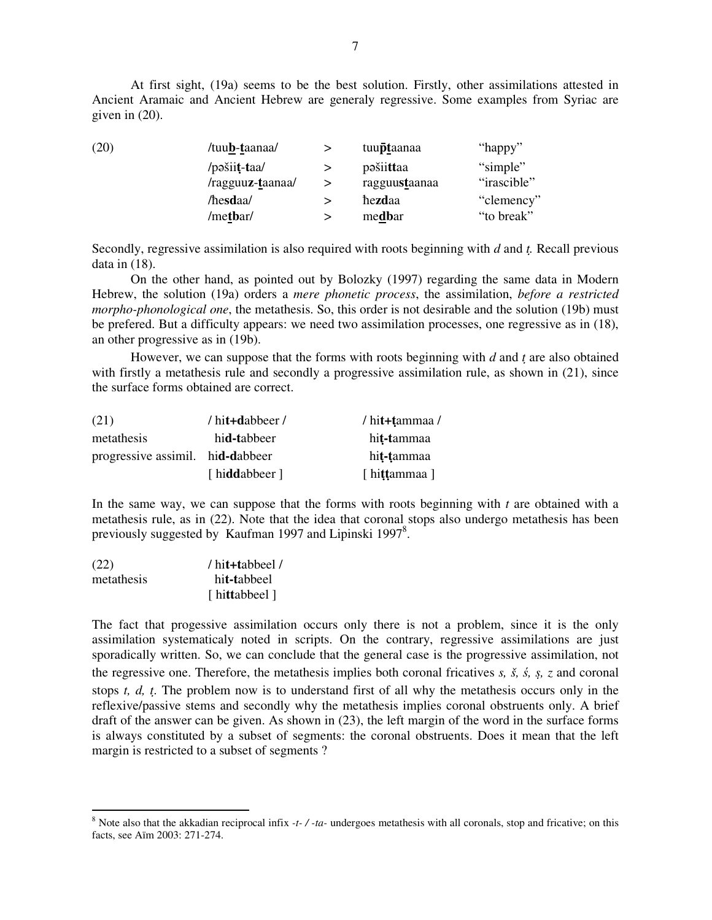At first sight, (19a) seems to be the best solution. Firstly, other assimilations attested in Ancient Aramaic and Ancient Hebrew are generaly regressive. Some examples from Syriac are given in (20).

| (20) | /tuu <b>b</b> -taanaa/ | tuu <b>pt</b> aanaa | "happy"     |
|------|------------------------|---------------------|-------------|
|      | /pošiit-taa/           | pošiittaa           | "simple"    |
|      | /ragguuz-taanaa/       | ragguustaanaa       | "irascible" |
|      | /hesdaa/               | hezdaa              | "clemency"  |
|      | /metbar/               | medbar              | "to break"  |

Secondly, regressive assimilation is also required with roots beginning with *d* and *t.* Recall previous data in (18).

On the other hand, as pointed out by Bolozky (1997) regarding the same data in Modern Hebrew, the solution (19a) orders a *mere phonetic process*, the assimilation, *before a restricted morpho-phonological one*, the metathesis. So, this order is not desirable and the solution (19b) must be prefered. But a difficulty appears: we need two assimilation processes, one regressive as in (18), an other progressive as in (19b).

However, we can suppose that the forms with roots beginning with *d* and *t* are also obtained with firstly a metathesis rule and secondly a progressive assimilation rule, as shown in (21), since the surface forms obtained are correct.

| (21)                             | / hit+dabbeer /      | / hit+tammaa /      |
|----------------------------------|----------------------|---------------------|
| metathesis                       | hi <b>d-t</b> abbeer | hi <b>t-t</b> ammaa |
| progressive assimil. hid-dabbeer |                      | hi <b>t-t</b> ammaa |
|                                  | [hiddabbeer]         | [ hittammaa ]       |

In the same way, we can suppose that the forms with roots beginning with *t* are obtained with a metathesis rule, as in (22). Note that the idea that coronal stops also undergo metathesis has been previously suggested by Kaufman 1997 and Lipinski 1997 $^8$ .

| (22)       | / hit+tabbeel /      |
|------------|----------------------|
| metathesis | hi <b>t-t</b> abbeel |
|            | [ hittabbeel ]       |

The fact that progessive assimilation occurs only there is not a problem, since it is the only assimilation systematicaly noted in scripts. On the contrary, regressive assimilations are just sporadically written. So, we can conclude that the general case is the progressive assimilation, not the regressive one. Therefore, the metathesis implies both coronal fricatives *s, š, , s, z* and coronal stops *t, d, t*. The problem now is to understand first of all why the metathesis occurs only in the reflexive/passive stems and secondly why the metathesis implies coronal obstruents only. A brief draft of the answer can be given. As shown in (23), the left margin of the word in the surface forms is always constituted by a subset of segments: the coronal obstruents. Does it mean that the left margin is restricted to a subset of segments ?

<sup>8</sup> Note also that the akkadian reciprocal infix *-t- / -ta-* undergoes metathesis with all coronals, stop and fricative; on this facts, see Aïm 2003: 271-274.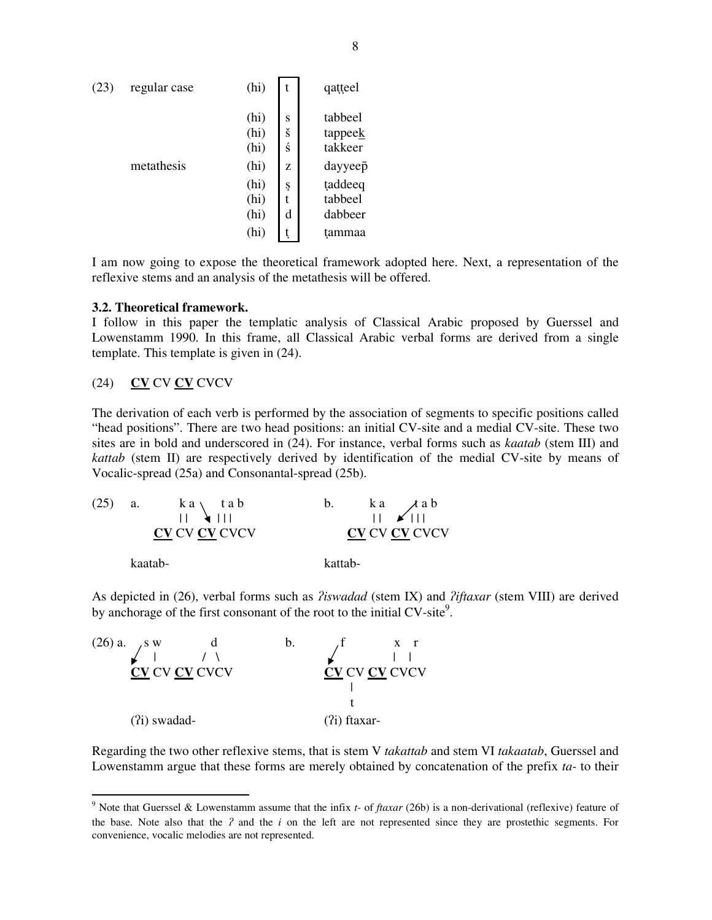| (23) | regular case | (hi)                                                         |                                 | qatteel                                                                             |
|------|--------------|--------------------------------------------------------------|---------------------------------|-------------------------------------------------------------------------------------|
|      | metathesis   | (hi)<br>(hi)<br>(hi)<br>(hi)<br>(hi)<br>(hi)<br>(hi)<br>(hi) | S<br>š<br>ś<br>Z<br>Ş<br>t<br>d | tabbeel<br>tappeek<br>takkeer<br>dayyeep<br>taddeeq<br>tabbeel<br>dabbeer<br>tammaa |

I am now going to expose the theoretical framework adopted here. Next, a representation of the reflexive stems and an analysis of the metathesis will be offered.

## **3.2. Theoretical framework.**

I follow in this paper the templatic analysis of Classical Arabic proposed by Guerssel and Lowenstamm 1990. In this frame, all Classical Arabic verbal forms are derived from a single template. This template is given in (24).

# (24) **CV** CV **CV** CVCV

The derivation of each verb is performed by the association of segments to specific positions called "head positions". There are two head positions: an initial CV-site and a medial CV-site. These two sites are in bold and underscored in (24). For instance, verbal forms such as *kaatab* (stem III) and *kattab* (stem II) are respectively derived by identification of the medial CV-site by means of Vocalic-spread (25a) and Consonantal-spread (25b).

| (25) | <b>a.</b> | $k a \setminus$ tab<br>$\mathbf{H}$ $\mathbf{H}$<br><b>CV CV CV CVCV</b> | b.      | $\begin{array}{ccc} ka & tab \\ \hline    & M \end{array}$<br><b>CV CV CV CVCV</b> |
|------|-----------|--------------------------------------------------------------------------|---------|------------------------------------------------------------------------------------|
|      | kaatab-   |                                                                          | kattab- |                                                                                    |

As depicted in (26), verbal forms such as *liswadad* (stem IX) and *liftaxar* (stem VIII) are derived by anchorage of the first consonant of the root to the initial CV-site<sup>9</sup>.



Regarding the two other reflexive stems, that is stem V *takattab* and stem VI *takaatab*, Guerssel and Lowenstamm argue that these forms are merely obtained by concatenation of the prefix *ta-* to their

<sup>9</sup> Note that Guerssel & Lowenstamm assume that the infix *t-* of *ftaxar* (26b) is a non-derivational (reflexive) feature of the base. Note also that the  $\hat{i}$  and the  $\hat{i}$  on the left are not represented since they are prostethic segments. For convenience, vocalic melodies are not represented.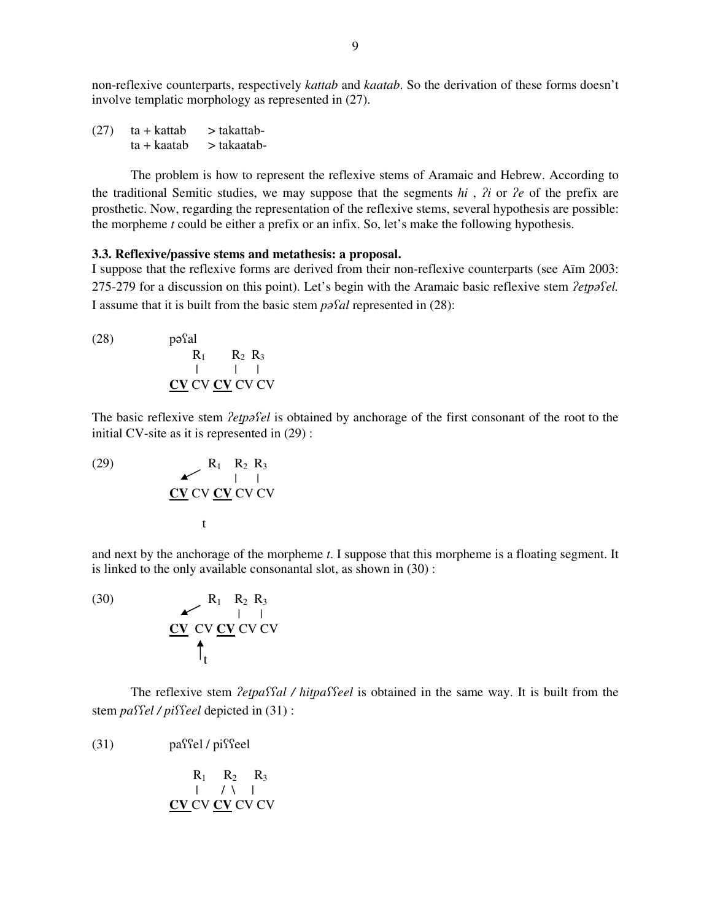non-reflexive counterparts, respectively *kattab* and *kaatab*. So the derivation of these forms doesn't involve templatic morphology as represented in (27).

 $(27)$  ta + kattab > takattab $ta + kaatab$  > takaatab-

The problem is how to represent the reflexive stems of Aramaic and Hebrew. According to the traditional Semitic studies, we may suppose that the segments  $hi$ ,  $\hat{i}$  or  $\hat{i}$  of the prefix are prosthetic. Now, regarding the representation of the reflexive stems, several hypothesis are possible: the morpheme *t* could be either a prefix or an infix. So, let's make the following hypothesis.

## **3.3. Reflexive/passive stems and metathesis: a proposal.**

I suppose that the reflexive forms are derived from their non-reflexive counterparts (see Aïm 2003: 275-279 for a discussion on this point). Let's begin with the Aramaic basic reflexive stem *letpafel*. I assume that it is built from the basic stem *pal* represented in (28):

 $(28)$  $p$ <sup>2</sup>al  $R_1$   $R_2$   $R_3$ | | | **CV** CV **CV** CV CV

The basic reflexive stem *letpafel* is obtained by anchorage of the first consonant of the root to the initial CV-site as it is represented in (29) :

(29) 
$$
\begin{array}{c}\n R_1 \quad R_2 \quad R_3 \\
 \downarrow \\
 \text{CV CV CV CV CV}\n \end{array}
$$

and next by the anchorage of the morpheme *t*. I suppose that this morpheme is a floating segment. It is linked to the only available consonantal slot, as shown in (30) :

(30) 
$$
\begin{array}{c}\n \mathbf{R}_1 \quad \mathbf{R}_2 \quad \mathbf{R}_3 \\
 \hline\n \mathbf{C} \mathbf{V} \quad \mathbf{C} \mathbf{V} \quad \mathbf{C} \mathbf{V} \quad \mathbf{C} \mathbf{V} \\
 \uparrow \mathbf{t}\n \end{array}
$$

The reflexive stem *letpaffal* / *hitpaffeel* is obtained in the same way. It is built from the stem *paffel* / *piffeel* depicted in (31) :

 $(31)$  passel / pissel

 $R_1$   $R_2$   $R_3$  $|$  / \  $|$ **CV** CV **CV** CV CV

 $\blacksquare$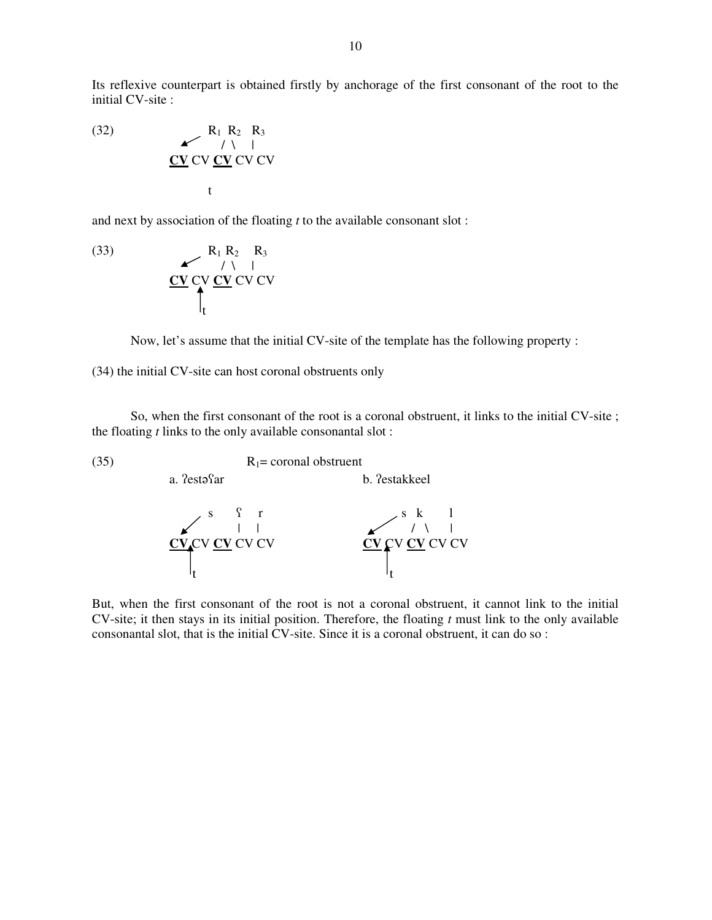Its reflexive counterpart is obtained firstly by anchorage of the first consonant of the root to the initial CV-site :

(32)  $R_1 R_2 R_3$ / \ | **CV** CV **CV** CV CV t

and next by association of the floating *t* to the available consonant slot :

(33) 
$$
\begin{array}{c}\n R_1 R_2 R_3 \\
 \longleftarrow \\
 CV CV CV CV CV\n\end{array}
$$

a. ?estacar

Now, let's assume that the initial CV-site of the template has the following property :

(34) the initial CV-site can host coronal obstruents only

So, when the first consonant of the root is a coronal obstruent, it links to the initial CV-site ; the floating *t* links to the only available consonantal slot :

b. ?estakkeel

(35)  $R_1 = \text{coronal obstruction}$ 



But, when the first consonant of the root is not a coronal obstruent, it cannot link to the initial CV-site; it then stays in its initial position. Therefore, the floating *t* must link to the only available consonantal slot, that is the initial CV-site. Since it is a coronal obstruent, it can do so :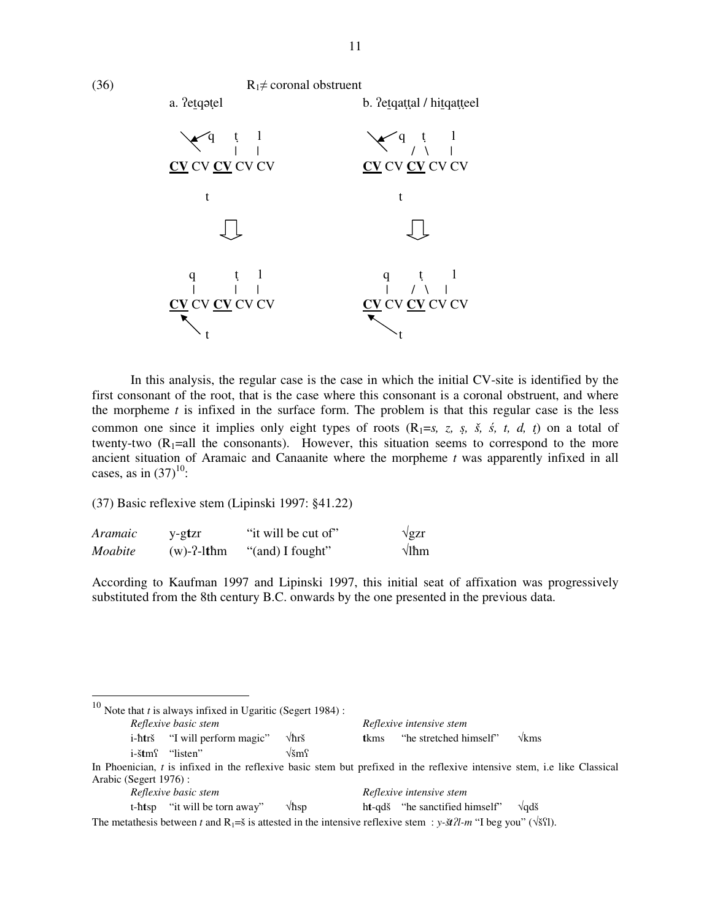

In this analysis, the regular case is the case in which the initial CV-site is identified by the first consonant of the root, that is the case where this consonant is a coronal obstruent, and where the morpheme  $t$  is infixed in the surface form. The problem is that this regular case is the less common one since it implies only eight types of roots  $(R_1 = s, z, s, \dot{s}, \dot{s}, t, d, t)$  on a total of twenty-two  $(R_1=all)$  the consonants). However, this situation seems to correspond to the more ancient situation of Aramaic and Canaanite where the morpheme *t* was apparently infixed in all cases, as in  $(37)^{10}$ :

(37) Basic reflexive stem (Lipinski 1997: §41.22)

| <i>Aramaic</i> | y-gtzr        | "it will be cut of" | $\sqrt{g}$ zr |
|----------------|---------------|---------------------|---------------|
| Moabite        | $(w)$ -?-lthm | "(and) I fought"    | $\sqrt{1}$ hm |

According to Kaufman 1997 and Lipinski 1997, this initial seat of affixation was progressively substituted from the 8th century B.C. onwards by the one presented in the previous data.

|                       | <sup>10</sup> Note that <i>t</i> is always infixed in Ugaritic (Segert 1984) :                                           |                   |       |                                |                      |
|-----------------------|--------------------------------------------------------------------------------------------------------------------------|-------------------|-------|--------------------------------|----------------------|
|                       | Reflexive basic stem                                                                                                     |                   |       | Reflexive intensive stem       |                      |
|                       | i-htrš "I will perform magic"                                                                                            | $\sqrt{\hbar}$ rš | tkms. | "he stretched himself"         | $\sqrt{k}$ ms        |
|                       | i-štm <sup>c</sup> "listen"                                                                                              | $\sqrt{2}$ ms     |       |                                |                      |
|                       | In Phoenician, t is infixed in the reflexive basic stem but prefixed in the reflexive intensive stem, i.e like Classical |                   |       |                                |                      |
| Arabic (Segert 1976): |                                                                                                                          |                   |       |                                |                      |
|                       | Reflexive basic stem                                                                                                     |                   |       | Reflexive intensive stem       |                      |
|                       | t-htsp "it will be torn away"                                                                                            | $\sqrt{\hbar}$ sp |       | ht-qdš "he sanctified himself" | $\sqrt{ad\check{s}}$ |

The metathesis between *t* and  $R_1 = \tilde{s}$  is attested in the intensive reflexive stem : *y-xt* $2l$ -*m* "I beg you" ( $\sqrt{\tilde{s}}$ ?1).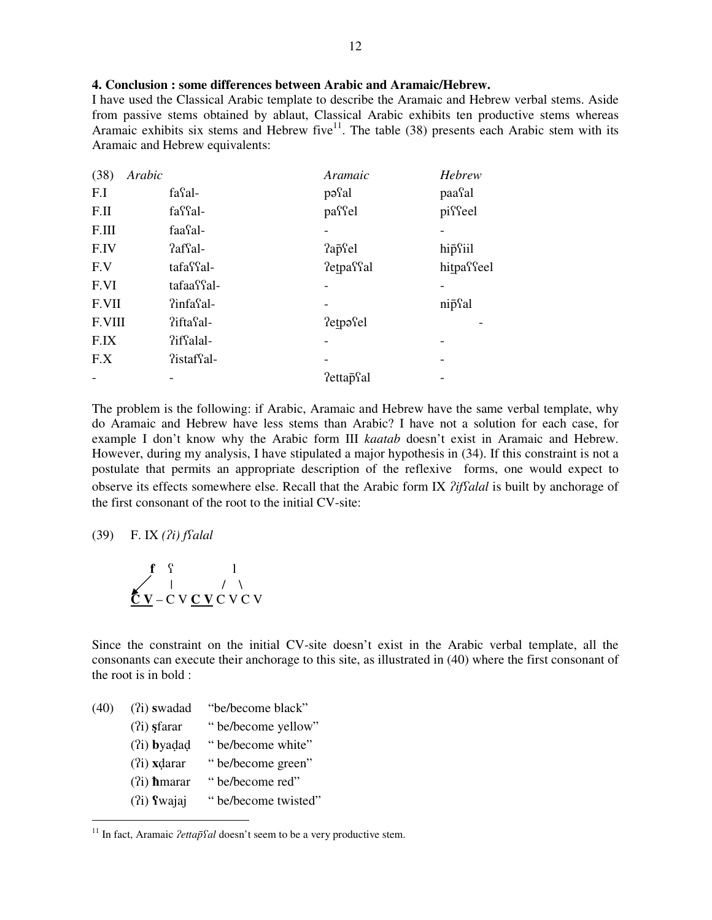## **4. Conclusion : some differences between Arabic and Aramaic/Hebrew.**

I have used the Classical Arabic template to describe the Aramaic and Hebrew verbal stems. Aside from passive stems obtained by ablaut, Classical Arabic exhibits ten productive stems whereas Aramaic exhibits six stems and Hebrew five<sup>11</sup>. The table (38) presents each Arabic stem with its Aramaic and Hebrew equivalents:

| Arabic<br>(38) |                        | Aramaic                | Hebrew     |
|----------------|------------------------|------------------------|------------|
| F.I            | fasal-                 | pasal                  | paasal     |
| F.II           | fa <sup>cc</sup> al-   | passel                 | pisseel    |
| F.III          | faa <sup>c</sup> al-   |                        |            |
| F.IV           | ?affal-                | ?apcel                 | hipsiil    |
| F.V            | tafa <sup>c</sup> fal- | ?etpaffal              | hitpasseel |
| F.VI           | tafaa?fal-             |                        |            |
| F.VII          | ?infasal-              |                        | nipsal     |
| F.VIII         | ?ifta al-              | ?etpəsel               |            |
| F.IX           | ?iffalal-              |                        |            |
| F.X            | ?istafsal-             |                        |            |
|                |                        | ?ettap <sup>S</sup> al |            |

The problem is the following: if Arabic, Aramaic and Hebrew have the same verbal template, why do Aramaic and Hebrew have less stems than Arabic? I have not a solution for each case, for example I don't know why the Arabic form III *kaatab* doesn't exist in Aramaic and Hebrew. However, during my analysis, I have stipulated a major hypothesis in (34). If this constraint is not a postulate that permits an appropriate description of the reflexive forms, one would expect to observe its effects somewhere else. Recall that the Arabic form IX *?iffalal* is built by anchorage of the first consonant of the root to the initial CV-site:

(39) F. IX *(*-*i) falal*

$$
\mathbf{f} \n\begin{array}{c}\n\mathbf{f} \\
\mathbf{f} \\
\mathbf{f} \\
\mathbf{f} \\
\mathbf{f} \\
\mathbf{f} \\
\mathbf{f} \\
\mathbf{f} \\
\mathbf{f} \\
\mathbf{f} \\
\mathbf{f} \\
\mathbf{f} \\
\mathbf{f} \\
\mathbf{f} \\
\mathbf{f} \\
\mathbf{f} \\
\mathbf{f} \\
\mathbf{f} \\
\mathbf{f} \\
\mathbf{f} \\
\mathbf{f} \\
\mathbf{f} \\
\mathbf{f} \\
\mathbf{f} \\
\mathbf{f} \\
\mathbf{f} \\
\mathbf{f} \\
\mathbf{f} \\
\mathbf{f} \\
\mathbf{f} \\
\mathbf{f} \\
\mathbf{f} \\
\mathbf{f} \\
\mathbf{f} \\
\mathbf{f} \\
\mathbf{f} \\
\mathbf{f} \\
\mathbf{f} \\
\mathbf{f} \\
\mathbf{f} \\
\mathbf{f} \\
\mathbf{f} \\
\mathbf{f} \\
\mathbf{f} \\
\mathbf{f} \\
\mathbf{f} \\
\mathbf{f} \\
\mathbf{f} \\
\mathbf{f} \\
\mathbf{f} \\
\mathbf{f} \\
\mathbf{f} \\
\mathbf{f} \\
\mathbf{f} \\
\mathbf{f} \\
\mathbf{f} \\
\mathbf{f} \\
\mathbf{f} \\
\mathbf{f} \\
\mathbf{f} \\
\mathbf{f} \\
\mathbf{f} \\
\mathbf{f} \\
\mathbf{f} \\
\mathbf{f} \\
\mathbf{f} \\
\mathbf{f} \\
\mathbf{f} \\
\mathbf{f} \\
\mathbf{f} \\
\mathbf{f} \\
\mathbf{f} \\
\mathbf{f} \\
\mathbf{f} \\
\mathbf{f} \\
\mathbf{f} \\
\mathbf{f} \\
\mathbf{f} \\
\mathbf{f} \\
\mathbf{f} \\
\mathbf{f} \\
\mathbf{f} \\
\mathbf{f} \\
\mathbf{f} \\
\mathbf{f} \\
\mathbf{f} \\
\mathbf{f} \\
\mathbf{f} \\
\mathbf{f} \\
\mathbf{f} \\
\mathbf{f} \\
\mathbf{f} \\
\mathbf{f} \\
\mathbf{f} \\
\mathbf{f} \\
\mathbf{f} \\
\mathbf{f} \\
\mathbf{f} \\
\mathbf{f} \\
\mathbf{f} \\
\mathbf{f} \\
\mathbf{f} \\
\mathbf{f} \\
\mathbf{f} \\
\mathbf{f} \\
\mathbf{f} \\
\math
$$

Since the constraint on the initial CV-site doesn't exist in the Arabic verbal template, all the consonants can execute their anchorage to this site, as illustrated in (40) where the first consonant of the root is in bold :

- (40) (?i) swadad "be/become black"
	- (?i) **s** farar " be/become yellow"
	- (?i) **b**yadad " be/become white"
	- (?i) **x**darar " be/become green"
	- (?i) **h**marar " be/become red"
	- (?i) **f** wajaj " be/become twisted"

<sup>&</sup>lt;sup>11</sup> In fact, Aramaic *lettap*<sup>r</sup>al doesn't seem to be a very productive stem.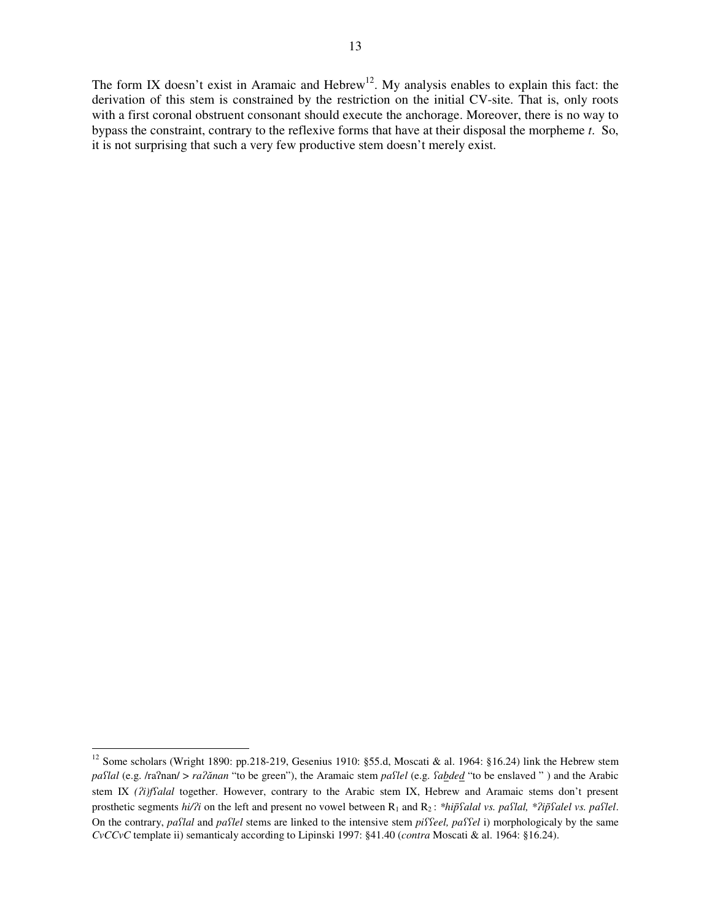The form IX doesn't exist in Aramaic and Hebrew<sup>12</sup>. My analysis enables to explain this fact: the derivation of this stem is constrained by the restriction on the initial CV-site. That is, only roots with a first coronal obstruent consonant should execute the anchorage. Moreover, there is no way to bypass the constraint, contrary to the reflexive forms that have at their disposal the morpheme *t*. So, it is not surprising that such a very few productive stem doesn't merely exist.

<sup>&</sup>lt;sup>12</sup> Some scholars (Wright 1890: pp.218-219, Gesenius 1910: §55.d, Moscati & al. 1964: §16.24) link the Hebrew stem pa*flal* (e.g. /ra?nan/ > *ra?ănan* "to be green"), the Aramaic stem *paflel* (e.g. *fabded* "to be enslaved ") and the Arabic stem IX *(*-*i)falal* together. However, contrary to the Arabic stem IX, Hebrew and Aramaic stems don't present prosthetic segments *hi/?i* on the left and present no vowel between R<sub>1</sub> and R<sub>2</sub>: \**hiphalal vs. pahlal, \*?iphalel vs. pahlel.* On the contrary, *paflal* and *paflel* stems are linked to the intensive stem *piffeel*, *paffel* i) morphologicaly by the same *CvCCvC* template ii) semanticaly according to Lipinski 1997: §41.40 (*contra* Moscati & al. 1964: §16.24).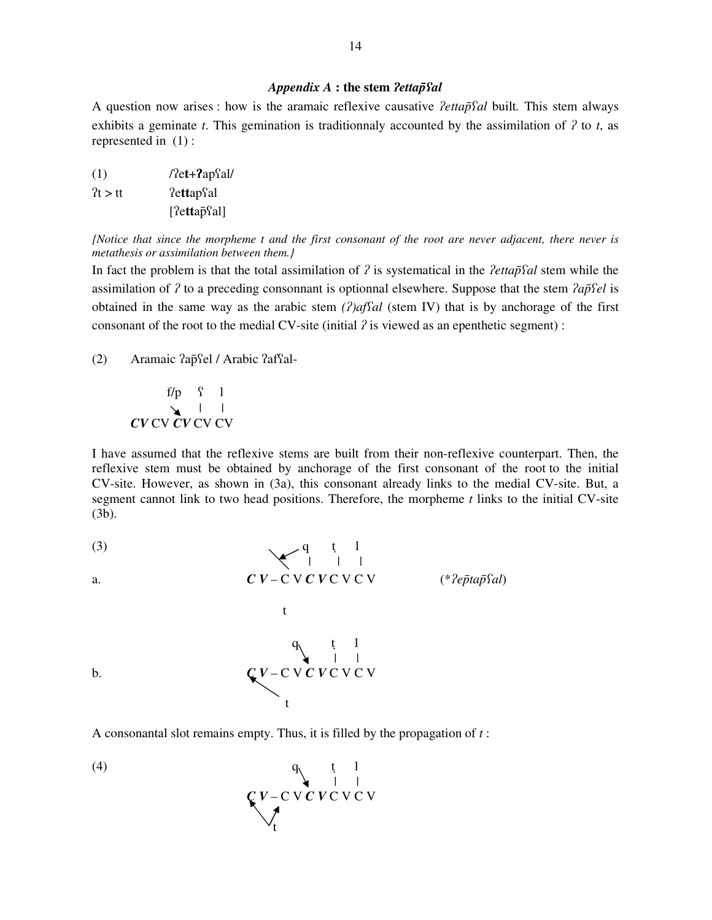# *Appendix A* **: the stem** *ettap*-*al*

A question now arises : how is the aramaic reflexive causative *lettapfal* built. This stem always exhibits a geminate  $t$ . This gemination is traditionnaly accounted by the assimilation of  $\lambda$  to  $t$ , as represented in (1) :

 $(1)$  / $\text{7et}+\text{2apfal/}$  $2t > tt$  ?ettap?al [?ettap̃Sal]

(Notice that since the morpheme t and the first consonant of the root are never adjacent, there never is *metathesis or assimilation between them.}*

In fact the problem is that the total assimilation of  $\hat{I}$  is systematical in the *lettapfal* stem while the assimilation of  $\hat{z}$  to a preceding consonnant is optionnal elsewhere. Suppose that the stem  $\hat{z}$  ap $\hat{z}$ el is obtained in the same way as the arabic stem  $(2)$  *affal* (stem IV) that is by anchorage of the first consonant of the root to the medial CV-site (initial  $\hat{z}$  is viewed as an epenthetic segment) :

(2) Aramaic ?ap̃Sel / Arabic ?afSal-

f/p  $\int$  1 | | *CV* CV *CV* CV CV

I have assumed that the reflexive stems are built from their non-reflexive counterpart. Then, the reflexive stem must be obtained by anchorage of the first consonant of the root to the initial CV-site. However, as shown in (3a), this consonant already links to the medial CV-site. But, a segment cannot link to two head positions. Therefore, the morpheme *t* links to the initial CV-site (3b).

(3)

\n
$$
C \overrightarrow{V} - C \overrightarrow{V} \overrightarrow{C} \overrightarrow{V} - C \overrightarrow{V} \overrightarrow{C} \overrightarrow{V} - C \overrightarrow{V} \overrightarrow{C} \overrightarrow{V} - C \overrightarrow{V} \overrightarrow{C} \overrightarrow{V} - C \overrightarrow{V} \overrightarrow{C} \overrightarrow{V} - C \overrightarrow{V} \overrightarrow{C} \overrightarrow{V} - C \overrightarrow{V} \overrightarrow{C} \overrightarrow{V} - C \overrightarrow{V} \overrightarrow{C} \overrightarrow{V} - C \overrightarrow{V} \overrightarrow{C} \overrightarrow{V} - C \overrightarrow{V} \overrightarrow{C} \overrightarrow{V} - C \overrightarrow{V} \overrightarrow{C} \overrightarrow{V} - C \overrightarrow{V} \overrightarrow{C} \overrightarrow{V} - C \overrightarrow{V} \overrightarrow{C} \overrightarrow{V} - C \overrightarrow{V} \overrightarrow{C} \overrightarrow{V} - C \overrightarrow{V} \overrightarrow{C} \overrightarrow{V} - C \overrightarrow{V} \overrightarrow{C} \overrightarrow{V} - C \overrightarrow{V} \overrightarrow{C} \overrightarrow{V} - C \overrightarrow{V} \overrightarrow{C} \overrightarrow{V} - C \overrightarrow{V} \overrightarrow{C} \overrightarrow{V} - C \overrightarrow{V} \overrightarrow{C} \overrightarrow{V} - C \overrightarrow{V} \overrightarrow{C} \overrightarrow{V} - C \overrightarrow{V} \overrightarrow{C} \overrightarrow{V} - C \overrightarrow{V} \overrightarrow{C} \overrightarrow{V} - C \overrightarrow{V} \overrightarrow{C} \overrightarrow{V} - C \overrightarrow{V} \overrightarrow{C} \overrightarrow{V} - C \overrightarrow{V} \overrightarrow{C} \overrightarrow{V} - C \overrightarrow{V} \overrightarrow{C} \overrightarrow{V} - C \overrightarrow{V} \overrightarrow{C} \overrightarrow{V} - C \overrightarrow{V} \overrightarrow{C} \overrightarrow{V} - C \overrightarrow{V} \overrightarrow{C} \overrightarrow{V} - C \overrightarrow{V} \overrightarrow{C} \overrightarrow{V} - C \overrightarrow{V} \overrightarrow{C} \overrightarrow{V} - C \overrightarrow{V} \overrightarrow{C} \overrightarrow{V} - C \overrightarrow{V} \overrightarrow{C} \overrightarrow{V} - C \overrightarrow{V} \overrightarrow{C} \overrightarrow{V} - C \overrightarrow{V} \overrightarrow{C} \overrightarrow{V} - C \overrightarrow{V} \overrightarrow{C} \overrightarrow{V} - C \overrightarrow
$$

A consonantal slot remains empty. Thus, it is filled by the propagation of *t* :

$$
(4) \qquad \qquad \begin{array}{c}\nq_{11} \\
\downarrow \\
q_{22} \\
\downarrow \\
q_{33}\n\end{array}
$$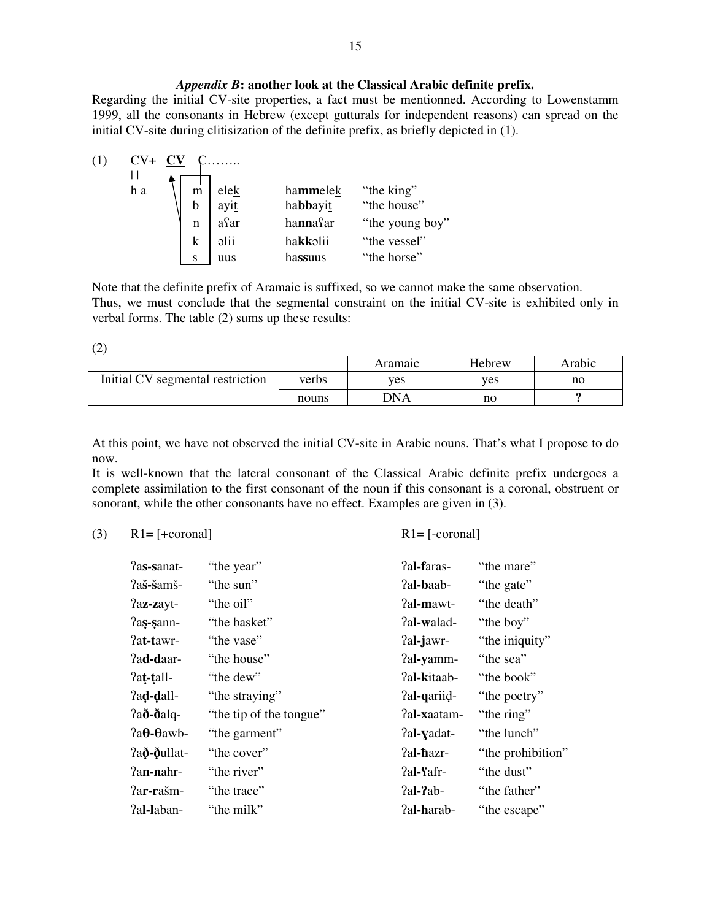## *Appendix B***: another look at the Classical Arabic definite prefix.**

Regarding the initial CV-site properties, a fact must be mentionned. According to Lowenstamm 1999, all the consonants in Hebrew (except gutturals for independent reasons) can spread on the initial CV-site during clitisization of the definite prefix, as briefly depicted in (1).



Note that the definite prefix of Aramaic is suffixed, so we cannot make the same observation. Thus, we must conclude that the segmental constraint on the initial CV-site is exhibited only in verbal forms. The table (2) sums up these results:

(2)

|                                  |       | Aramaıc    | Hebrew | Arabic |
|----------------------------------|-------|------------|--------|--------|
| Initial CV segmental restriction | verbs | <b>ves</b> | ves    | no     |
|                                  | nouns | <b>DNA</b> | no     |        |

At this point, we have not observed the initial CV-site in Arabic nouns. That's what I propose to do now.

It is well-known that the lateral consonant of the Classical Arabic definite prefix undergoes a complete assimilation to the first consonant of the noun if this consonant is a coronal, obstruent or sonorant, while the other consonants have no effect. Examples are given in (3).

(3)  $R1 = [-\text{coronal}]$   $R1 = [-\text{coronal}]$ 

| ?as-sanat-                | "the year"              | ?al-faras-  | "the mare"        |
|---------------------------|-------------------------|-------------|-------------------|
| ?aš-šamš-                 | "the sun"               | Pal-baab-   | "the gate"        |
| $2ax$ -zayt-              | "the oil"               | ?al-mawt-   | "the death"       |
| Pas-sann-                 | "the basket"            | ?al-walad-  | "the boy"         |
| ?at-tawr-                 | "the vase"              | ?al-jawr-   | "the iniquity"    |
| Pa <b>d-d</b> aar-        | "the house"             | ?al-yamm-   | "the sea"         |
| Pat-tall-                 | "the dew"               | ?al-kitaab- | "the book"        |
| ?ad-dall-                 | "the straying"          | ?al-qariid- | "the poetry"      |
| $2a\delta$ -ðalq-         | "the tip of the tongue" | Pal-xaatam- | "the ring"        |
| $a\theta$ - $\theta$ awb- | "the garment"           | ?al-yadat-  | "the lunch"       |
| ?a <b>ð-ð</b> ullat-      | "the cover"             | ?al-hazr-   | "the prohibition" |
| Pa <b>n-n</b> ahr-        | "the river"             | ?al-Safr-   | "the dust"        |
| Par-rašm-                 | "the trace"             | $2al-2ab$   | "the father"      |
| ?al-laban-                | "the milk"              | Pal-harab-  | "the escape"      |
|                           |                         |             |                   |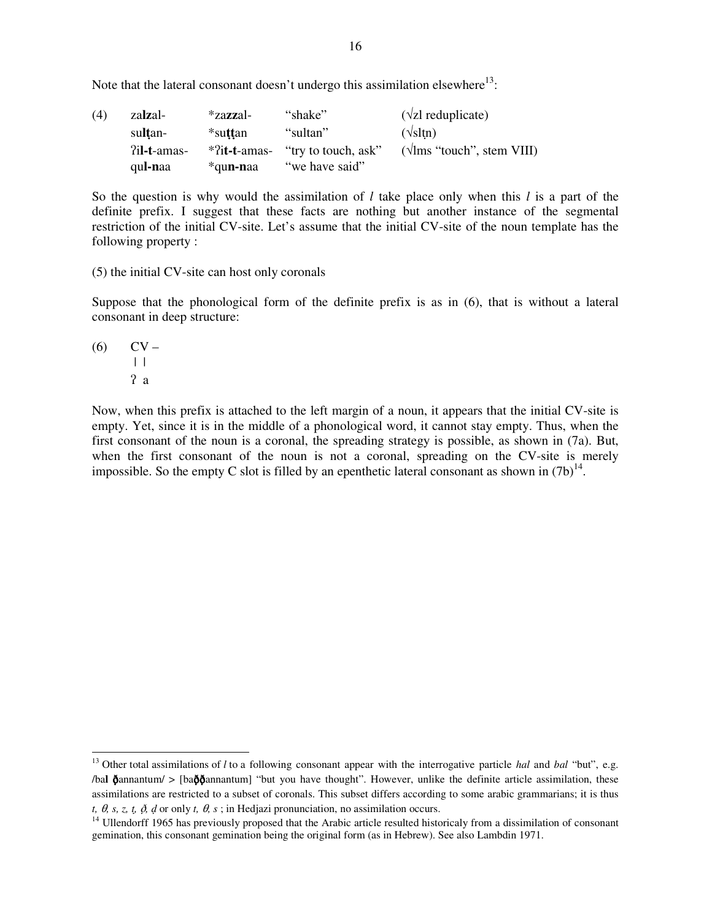Note that the lateral consonant doesn't undergo this assimilation elsewhere $^{13}$ :

| (4) | zalzal-          | *za <b>zz</b> al- | "shake"                             | $(\sqrt{z}I \text{ reduplicate})$ |
|-----|------------------|-------------------|-------------------------------------|-----------------------------------|
|     | sultan-          | *su <b>tt</b> an  | "sultan"                            | $(\sqrt{\text{sltn}})$            |
|     | ?il-t-amas-      |                   | $*$ ?it-t-amas- "try to touch, ask" | $(\sqrt{lms}$ "touch", stem VIII) |
|     | qu <b>l-n</b> aa | *qu <b>n-n</b> aa | "we have said"                      |                                   |

So the question is why would the assimilation of *l* take place only when this *l* is a part of the definite prefix. I suggest that these facts are nothing but another instance of the segmental restriction of the initial CV-site. Let's assume that the initial CV-site of the noun template has the following property :

(5) the initial CV-site can host only coronals

Suppose that the phonological form of the definite prefix is as in (6), that is without a lateral consonant in deep structure:

(6)

\n
$$
\begin{array}{cc}\n\text{CV} - \\
\text{I} \\
\text{2} \\
\text{a}\n\end{array}
$$

Now, when this prefix is attached to the left margin of a noun, it appears that the initial CV-site is empty. Yet, since it is in the middle of a phonological word, it cannot stay empty. Thus, when the first consonant of the noun is a coronal, the spreading strategy is possible, as shown in (7a). But, when the first consonant of the noun is not a coronal, spreading on the CV-site is merely impossible. So the empty C slot is filled by an epenthetic lateral consonant as shown in  $(7b)^{14}$ .

<sup>&</sup>lt;sup>13</sup> Other total assimilations of *l* to a following consonant appear with the interrogative particle *hal* and *bal* "but", e.g. /bal  $\delta$ annantum/ > [ba $\delta\delta$ annantum] "but you have thought". However, unlike the definite article assimilation, these assimilations are restricted to a subset of coronals. This subset differs according to some arabic grammarians; it is thus  $t, \theta, s, z, t, \delta, d$  or only  $t, \theta, s$ ; in Hedjazi pronunciation, no assimilation occurs.

<sup>&</sup>lt;sup>14</sup> Ullendorff 1965 has previously proposed that the Arabic article resulted historicaly from a dissimilation of consonant gemination, this consonant gemination being the original form (as in Hebrew). See also Lambdin 1971.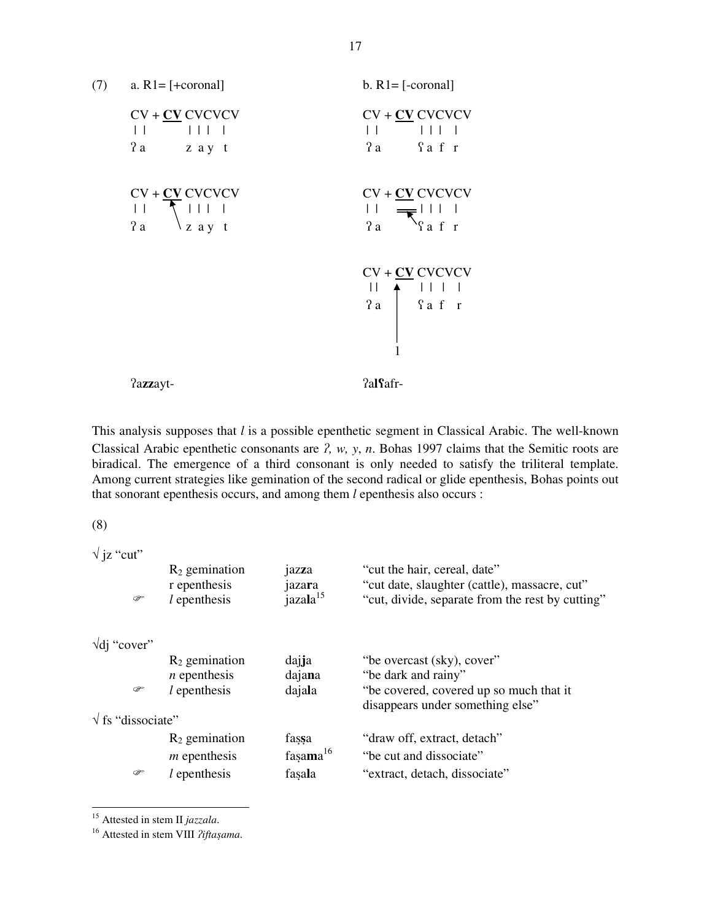

This analysis supposes that *l* is a possible epenthetic segment in Classical Arabic. The well-known Classical Arabic epenthetic consonants are  $2$ ,  $w$ ,  $y$ ,  $n$ . Bohas 1997 claims that the Semitic roots are biradical. The emergence of a third consonant is only needed to satisfy the triliteral template. Among current strategies like gemination of the second radical or glide epenthesis, Bohas points out that sonorant epenthesis occurs, and among them *l* epenthesis also occurs :

(8)

√ jz "cut"

| ☞                               | $R_2$ gemination<br>r epenthesis<br>$l$ epenthesis | jazza<br>jazara<br>jazala <sup>15</sup> | "cut the hair, cereal, date"<br>"cut date, slaughter (cattle), massacre, cut"<br>"cut, divide, separate from the rest by cutting" |
|---------------------------------|----------------------------------------------------|-----------------------------------------|-----------------------------------------------------------------------------------------------------------------------------------|
| $\sqrt{di}$ "cover"             |                                                    |                                         |                                                                                                                                   |
|                                 | $R_2$ gemination                                   | dajja                                   | "be overcast (sky), cover"                                                                                                        |
|                                 | $n$ epenthesis                                     | dajana                                  | "be dark and rainy"                                                                                                               |
| ☞                               | $l$ epenthesis                                     | dajala                                  | "be covered, covered up so much that it<br>disappears under something else"                                                       |
| $\sqrt{\text{fs}}$ "dissociate" |                                                    |                                         |                                                                                                                                   |
|                                 | $R_2$ gemination                                   | fassa                                   | "draw off, extract, detach"                                                                                                       |
|                                 | $m$ epenthesis                                     | fasama $16$                             | "be cut and dissociate"                                                                                                           |
| ☞                               | $l$ epenthesis                                     | fasala                                  | "extract, detach, dissociate"                                                                                                     |
|                                 |                                                    |                                         |                                                                                                                                   |

<sup>15</sup> Attested in stem II *jazzala*.

<sup>16</sup> Attested in stem VIII ?iftaşama.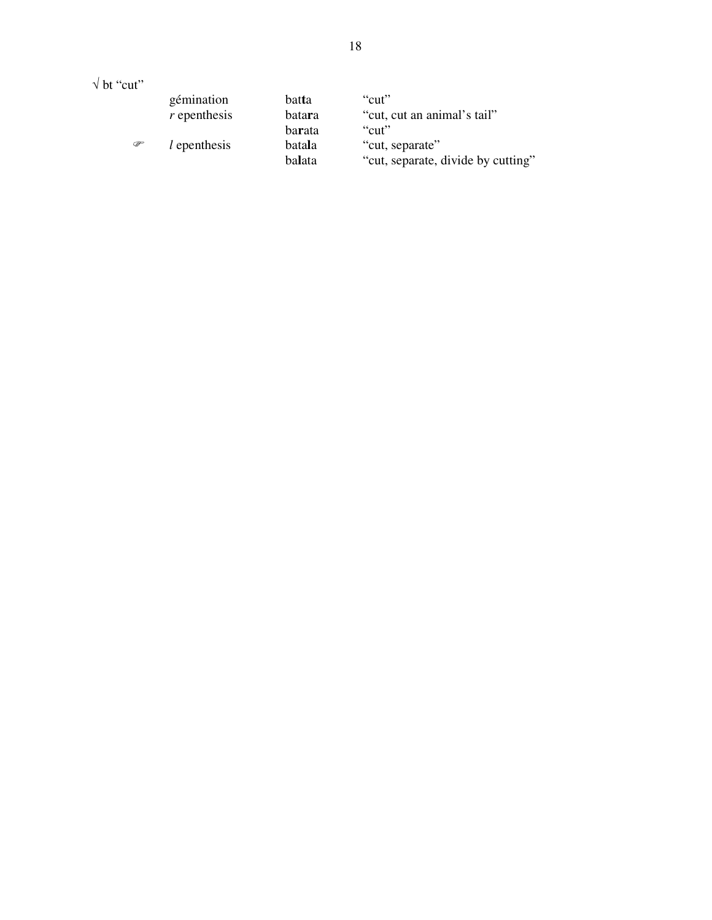$\sqrt{b}$ t "cut"

|   | gémination     | batta                      | "cut"                                                          |
|---|----------------|----------------------------|----------------------------------------------------------------|
|   | $r$ epenthesis | batara                     | "cut, cut an animal's tail"                                    |
| ☞ | $l$ epenthesis | barata<br>batala<br>balata | "cut"<br>"cut, separate"<br>"cut, separate, divide by cutting" |